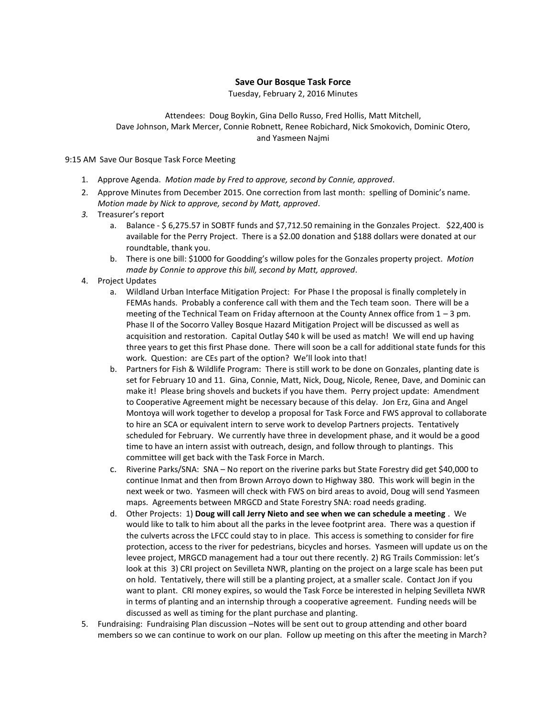## **Save Our Bosque Task Force**

Tuesday, February 2, 2016 Minutes

## Attendees: Doug Boykin, Gina Dello Russo, Fred Hollis, Matt Mitchell, Dave Johnson, Mark Mercer, Connie Robnett, Renee Robichard, Nick Smokovich, Dominic Otero, and Yasmeen Najmi

9:15 AM Save Our Bosque Task Force Meeting

- 1. Approve Agenda. *Motion made by Fred to approve, second by Connie, approved*.
- 2. Approve Minutes from December 2015. One correction from last month: spelling of Dominic's name. *Motion made by Nick to approve, second by Matt, approved*.
- *3.* Treasurer's report
	- a. Balance \$ 6,275.57 in SOBTF funds and \$7,712.50 remaining in the Gonzales Project. \$22,400 is available for the Perry Project. There is a \$2.00 donation and \$188 dollars were donated at our roundtable, thank you.
	- b. There is one bill: \$1000 for Goodding's willow poles for the Gonzales property project. *Motion made by Connie to approve this bill, second by Matt, approved*.
- 4. Project Updates
	- a. Wildland Urban Interface Mitigation Project: For Phase I the proposal is finally completely in FEMAs hands. Probably a conference call with them and the Tech team soon. There will be a meeting of the Technical Team on Friday afternoon at the County Annex office from 1 – 3 pm. Phase II of the Socorro Valley Bosque Hazard Mitigation Project will be discussed as well as acquisition and restoration. Capital Outlay \$40 k will be used as match! We will end up having three years to get this first Phase done. There will soon be a call for additional state funds for this work. Question: are CEs part of the option? We'll look into that!
	- b. Partners for Fish & Wildlife Program: There is still work to be done on Gonzales, planting date is set for February 10 and 11. Gina, Connie, Matt, Nick, Doug, Nicole, Renee, Dave, and Dominic can make it! Please bring shovels and buckets if you have them. Perry project update: Amendment to Cooperative Agreement might be necessary because of this delay. Jon Erz, Gina and Angel Montoya will work together to develop a proposal for Task Force and FWS approval to collaborate to hire an SCA or equivalent intern to serve work to develop Partners projects. Tentatively scheduled for February. We currently have three in development phase, and it would be a good time to have an intern assist with outreach, design, and follow through to plantings. This committee will get back with the Task Force in March.
	- c. Riverine Parks/SNA: SNA No report on the riverine parks but State Forestry did get \$40,000 to continue Inmat and then from Brown Arroyo down to Highway 380. This work will begin in the next week or two. Yasmeen will check with FWS on bird areas to avoid, Doug will send Yasmeen maps. Agreements between MRGCD and State Forestry SNA: road needs grading.
	- d. Other Projects: 1) **Doug will call Jerry Nieto and see when we can schedule a meeting** . We would like to talk to him about all the parks in the levee footprint area. There was a question if the culverts across the LFCC could stay to in place. This access is something to consider for fire protection, access to the river for pedestrians, bicycles and horses. Yasmeen will update us on the levee project, MRGCD management had a tour out there recently. 2) RG Trails Commission: let's look at this 3) CRI project on Sevilleta NWR, planting on the project on a large scale has been put on hold. Tentatively, there will still be a planting project, at a smaller scale. Contact Jon if you want to plant. CRI money expires, so would the Task Force be interested in helping Sevilleta NWR in terms of planting and an internship through a cooperative agreement. Funding needs will be discussed as well as timing for the plant purchase and planting.
- 5. Fundraising: Fundraising Plan discussion –Notes will be sent out to group attending and other board members so we can continue to work on our plan. Follow up meeting on this after the meeting in March?